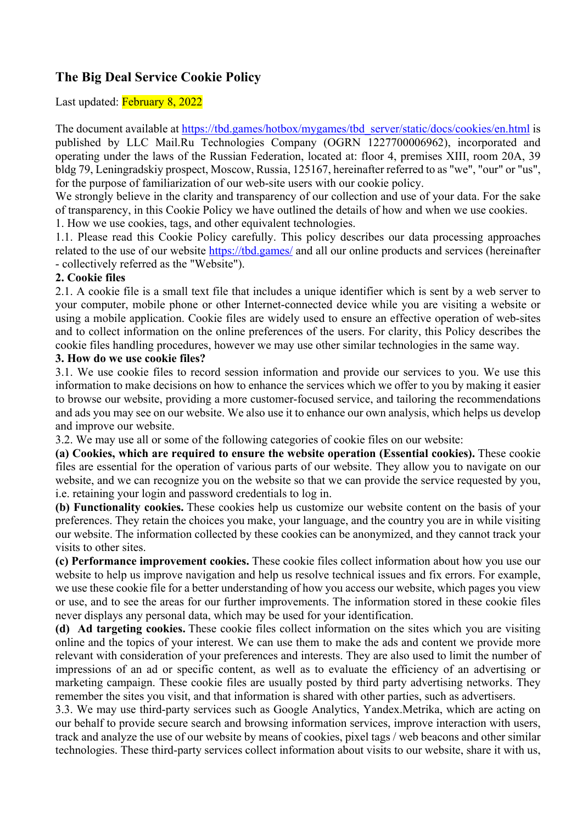# **The Big Deal Service Cookie Policy**

Last updated: February 8, 2022

The document available at https://tbd.games/hotbox/mygames/tbd\_server/static/docs/cookies/en.html is published by LLC Mail.Ru Technologies Company (OGRN 1227700006962), incorporated and operating under the laws of the Russian Federation, located at: floor 4, premises XIII, room 20A, 39 bldg 79, Leningradskiy prospect, Moscow, Russia, 125167, hereinafter referred to as "we", "our" or "us", for the purpose of familiarization of our web-site users with our cookie policy.

We strongly believe in the clarity and transparency of our collection and use of your data. For the sake of transparency, in this Cookie Policy we have outlined the details of how and when we use cookies. 1. How we use cookies, tags, and other equivalent technologies.

1.1. Please read this Cookie Policy carefully. This policy describes our data processing approaches related to the use of our website https://tbd.games/ and all our online products and services (hereinafter - collectively referred as the "Website").

### **2. Cookie files**

2.1. A cookie file is a small text file that includes a unique identifier which is sent by a web server to your computer, mobile phone or other Internet-connected device while you are visiting a website or using a mobile application. Cookie files are widely used to ensure an effective operation of web-sites and to collect information on the online preferences of the users. For clarity, this Policy describes the cookie files handling procedures, however we may use other similar technologies in the same way.

### **3. How do we use cookie files?**

3.1. We use cookie files to record session information and provide our services to you. We use this information to make decisions on how to enhance the services which we offer to you by making it easier to browse our website, providing a more customer-focused service, and tailoring the recommendations and ads you may see on our website. We also use it to enhance our own analysis, which helps us develop and improve our website.

3.2. We may use all or some of the following categories of cookie files on our website:

**(a) Cookies, which are required to ensure the website operation (Essential cookies).** These cookie files are essential for the operation of various parts of our website. They allow you to navigate on our website, and we can recognize you on the website so that we can provide the service requested by you, i.e. retaining your login and password credentials to log in.

**(b) Functionality cookies.** These cookies help us customize our website content on the basis of your preferences. They retain the choices you make, your language, and the country you are in while visiting our website. The information collected by these cookies can be anonymized, and they cannot track your visits to other sites.

**(c) Performance improvement cookies.** These cookie files collect information about how you use our website to help us improve navigation and help us resolve technical issues and fix errors. For example, we use these cookie file for a better understanding of how you access our website, which pages you view or use, and to see the areas for our further improvements. The information stored in these cookie files never displays any personal data, which may be used for your identification.

**(d) Ad targeting cookies.** These cookie files collect information on the sites which you are visiting online and the topics of your interest. We can use them to make the ads and content we provide more relevant with consideration of your preferences and interests. They are also used to limit the number of impressions of an ad or specific content, as well as to evaluate the efficiency of an advertising or marketing campaign. These cookie files are usually posted by third party advertising networks. They remember the sites you visit, and that information is shared with other parties, such as advertisers.

3.3. We may use third-party services such as Google Analytics, Yandex.Metrika, which are acting on our behalf to provide secure search and browsing information services, improve interaction with users, track and analyze the use of our website by means of cookies, pixel tags / web beacons and other similar technologies. These third-party services collect information about visits to our website, share it with us,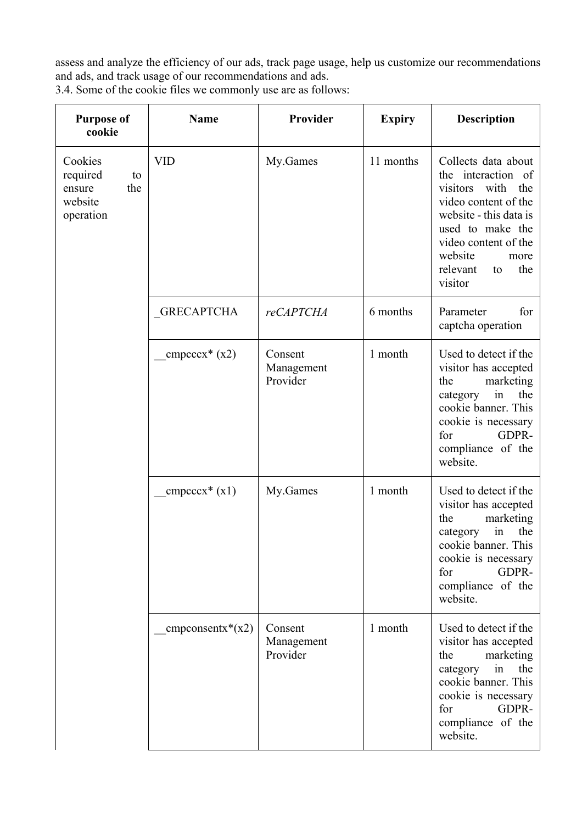assess and analyze the efficiency of our ads, track page usage, help us customize our recommendations and ads, and track usage of our recommendations and ads.

3.4. Some of the cookie files we commonly use are as follows:

| <b>Purpose of</b><br>cookie                                        | <b>Name</b>               | Provider                          | <b>Expiry</b> | <b>Description</b>                                                                                                                                                                                                        |
|--------------------------------------------------------------------|---------------------------|-----------------------------------|---------------|---------------------------------------------------------------------------------------------------------------------------------------------------------------------------------------------------------------------------|
| Cookies<br>required<br>to<br>the<br>ensure<br>website<br>operation | <b>VID</b>                | My.Games                          | 11 months     | Collects data about<br>the interaction of<br>visitors<br>with<br>the<br>video content of the<br>website - this data is<br>used to make the<br>video content of the<br>website<br>more<br>relevant<br>the<br>to<br>visitor |
|                                                                    | <b>GRECAPTCHA</b>         | reCAPTCHA                         | 6 months      | Parameter<br>for<br>captcha operation                                                                                                                                                                                     |
|                                                                    | $cmpeccx*(x2)$            | Consent<br>Management<br>Provider | 1 month       | Used to detect if the<br>visitor has accepted<br>the<br>marketing<br>category<br>the<br>in<br>cookie banner. This<br>cookie is necessary<br>GDPR-<br>for<br>compliance of the<br>website.                                 |
|                                                                    | $cmpeccx*(x1)$            | My.Games                          | 1 month       | Used to detect if the<br>visitor has accepted<br>marketing<br>the<br>in<br>the<br>category<br>cookie banner. This<br>cookie is necessary<br>GDPR-<br>for<br>compliance of the<br>website.                                 |
|                                                                    | $\text{components}^*(x2)$ | Consent<br>Management<br>Provider | 1 month       | Used to detect if the<br>visitor has accepted<br>the<br>marketing<br>category<br>the<br>in<br>cookie banner. This<br>cookie is necessary<br>GDPR-<br>for<br>compliance of the<br>website.                                 |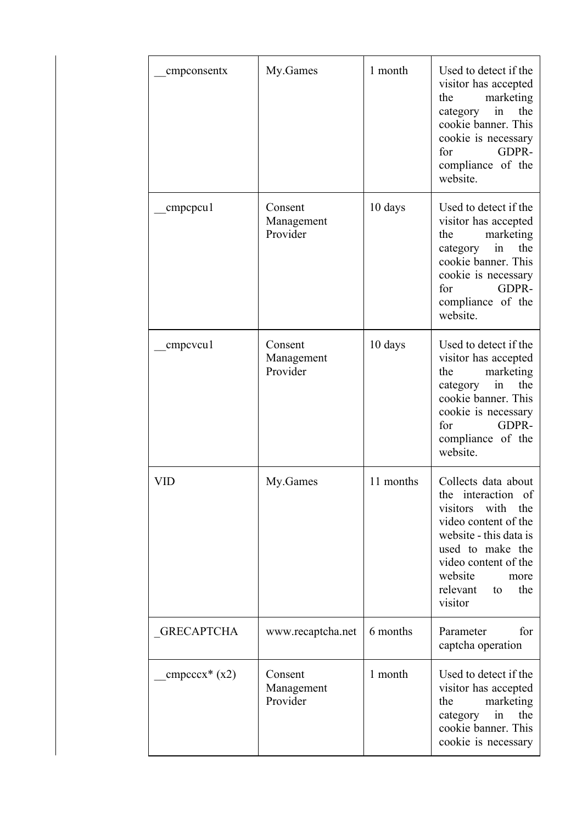| cmpconsentx       | My.Games                          | 1 month   | Used to detect if the<br>visitor has accepted<br>marketing<br>the<br>category<br>in<br>the<br>cookie banner. This<br>cookie is necessary<br>GDPR-<br>for<br>compliance of the<br>website.                                 |
|-------------------|-----------------------------------|-----------|---------------------------------------------------------------------------------------------------------------------------------------------------------------------------------------------------------------------------|
| cmpcpcu1          | Consent<br>Management<br>Provider | 10 days   | Used to detect if the<br>visitor has accepted<br>marketing<br>the<br>category<br>the<br>in<br>cookie banner. This<br>cookie is necessary<br>GDPR-<br>for<br>compliance of the<br>website.                                 |
| cmpcvcu1          | Consent<br>Management<br>Provider | 10 days   | Used to detect if the<br>visitor has accepted<br>marketing<br>the<br>category<br>in<br>the<br>cookie banner. This<br>cookie is necessary<br>GDPR-<br>for<br>compliance of the<br>website.                                 |
| VID               | My.Games                          | 11 months | Collects data about<br>the interaction of<br>with<br>the<br>visitors<br>video content of the<br>website - this data is<br>used to make the<br>video content of the<br>website<br>more<br>relevant<br>the<br>to<br>visitor |
| <b>GRECAPTCHA</b> | www.recaptcha.net                 | 6 months  | Parameter<br>for<br>captcha operation                                                                                                                                                                                     |
| $cmpcccx*(x2)$    | Consent<br>Management<br>Provider | 1 month   | Used to detect if the<br>visitor has accepted<br>marketing<br>the<br>the<br>category<br>in<br>cookie banner. This<br>cookie is necessary                                                                                  |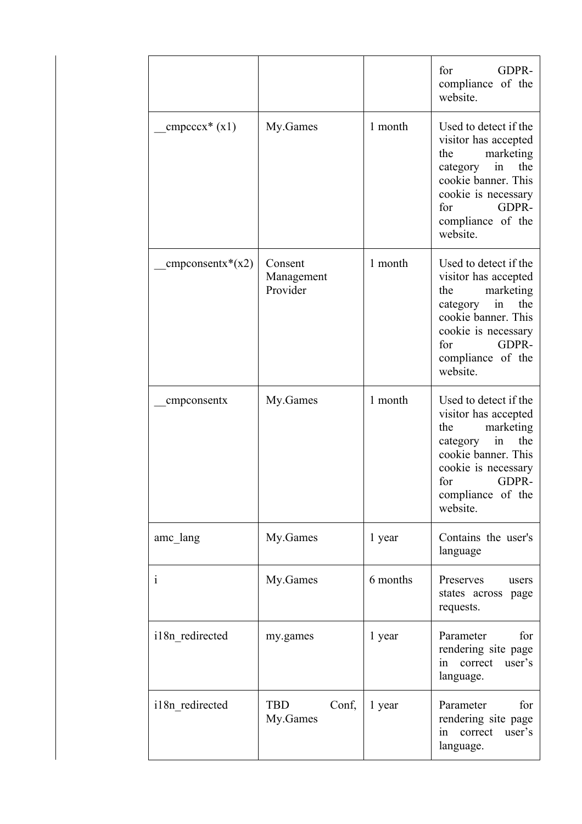|                    |                                   |          | GDPR-<br>for<br>compliance of the<br>website.                                                                                                                                             |
|--------------------|-----------------------------------|----------|-------------------------------------------------------------------------------------------------------------------------------------------------------------------------------------------|
| $cmpeccx*(x1)$     | My.Games                          | 1 month  | Used to detect if the<br>visitor has accepted<br>marketing<br>the<br>category<br>the<br>in<br>cookie banner. This<br>cookie is necessary<br>GDPR-<br>for<br>compliance of the<br>website. |
| $cmpconsentx*(x2)$ | Consent<br>Management<br>Provider | 1 month  | Used to detect if the<br>visitor has accepted<br>marketing<br>the<br>in<br>category<br>the<br>cookie banner. This<br>cookie is necessary<br>GDPR-<br>for<br>compliance of the<br>website. |
| cmpconsentx        | My.Games                          | 1 month  | Used to detect if the<br>visitor has accepted<br>marketing<br>the<br>category<br>in<br>the<br>cookie banner. This<br>cookie is necessary<br>GDPR-<br>for<br>compliance of the<br>website. |
| amc_lang           | My.Games                          | 1 year   | Contains the user's<br>language                                                                                                                                                           |
| $\mathbf{i}$       | My.Games                          | 6 months | Preserves<br>users<br>states across page<br>requests.                                                                                                                                     |
| i18n_redirected    | my.games                          | 1 year   | Parameter<br>for<br>rendering site page<br>user's<br>correct<br>in<br>language.                                                                                                           |
| i18n redirected    | TBD<br>Conf,<br>My.Games          | 1 year   | Parameter<br>for<br>rendering site page<br>correct<br>user's<br>in<br>language.                                                                                                           |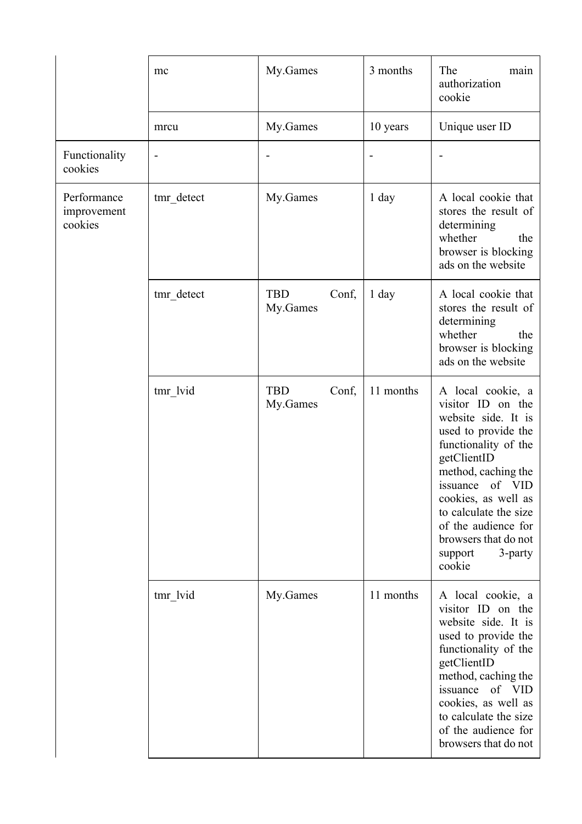|                                       | mc              | My.Games                        | 3 months                 | The<br>main<br>authorization<br>cookie                                                                                                                                                                                                                                                                  |
|---------------------------------------|-----------------|---------------------------------|--------------------------|---------------------------------------------------------------------------------------------------------------------------------------------------------------------------------------------------------------------------------------------------------------------------------------------------------|
|                                       | mrcu            | My.Games                        | 10 years                 | Unique user ID                                                                                                                                                                                                                                                                                          |
| Functionality<br>cookies              | $\qquad \qquad$ |                                 | $\overline{\phantom{a}}$ |                                                                                                                                                                                                                                                                                                         |
| Performance<br>improvement<br>cookies | tmr detect      | My.Games                        | $1$ day                  | A local cookie that<br>stores the result of<br>determining<br>whether<br>the<br>browser is blocking<br>ads on the website                                                                                                                                                                               |
|                                       | tmr detect      | <b>TBD</b><br>Conf,<br>My.Games | 1 day                    | A local cookie that<br>stores the result of<br>determining<br>whether<br>the<br>browser is blocking<br>ads on the website                                                                                                                                                                               |
|                                       | tmr lvid        | <b>TBD</b><br>Conf,<br>My.Games | 11 months                | A local cookie, a<br>visitor ID on the<br>website side. It is<br>used to provide the<br>functionality of the<br>getClientID<br>method, caching the<br>of VID<br>issuance<br>cookies, as well as<br>to calculate the size<br>of the audience for<br>browsers that do not<br>3-party<br>support<br>cookie |
|                                       | tmr lvid        | My.Games                        | 11 months                | A local cookie, a<br>visitor ID on the<br>website side. It is<br>used to provide the<br>functionality of the<br>getClientID<br>method, caching the<br>issuance of VID<br>cookies, as well as<br>to calculate the size<br>of the audience for<br>browsers that do not                                    |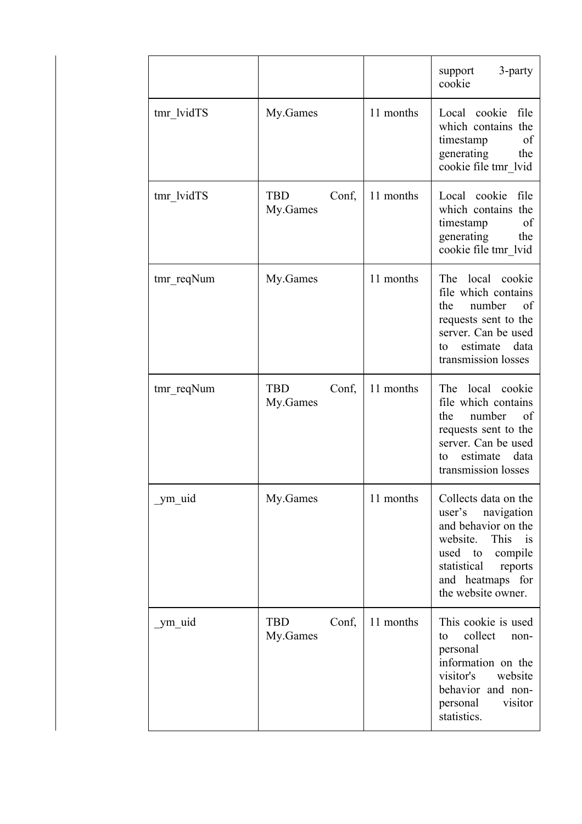|            |                                 |           | 3-party<br>support<br>cookie                                                                                                                                                                 |
|------------|---------------------------------|-----------|----------------------------------------------------------------------------------------------------------------------------------------------------------------------------------------------|
| tmr lvidTS | My.Games                        | 11 months | Local cookie file<br>which contains the<br>timestamp<br>of<br>generating<br>the<br>cookie file tmr lvid                                                                                      |
| tmr lvidTS | Conf,<br>TBD<br>My.Games        | 11 months | Local cookie file<br>which contains the<br>timestamp<br>of<br>generating<br>the<br>cookie file tmr lvid                                                                                      |
| tmr_reqNum | My.Games                        | 11 months | The local cookie<br>file which contains<br>number<br><sub>of</sub><br>the<br>requests sent to the<br>server. Can be used<br>estimate<br>data<br>to<br>transmission losses                    |
| tmr_reqNum | TBD<br>Conf,<br>My.Games        | 11 months | The local cookie<br>file which contains<br>number<br>the<br>of<br>requests sent to the<br>server. Can be used<br>data<br>estimate<br>to<br>transmission losses                               |
| ym_uid     | My.Games                        | 11 months | Collects data on the<br>user's<br>navigation<br>and behavior on the<br>website. This<br>$\frac{1}{1}$<br>used to compile<br>statistical<br>reports<br>and heatmaps for<br>the website owner. |
| ym uid     | <b>TBD</b><br>Conf,<br>My.Games | 11 months | This cookie is used<br>collect<br>to<br>non-<br>personal<br>information on the<br>visitor's<br>website<br>behavior and non-<br>personal<br>visitor<br>statistics.                            |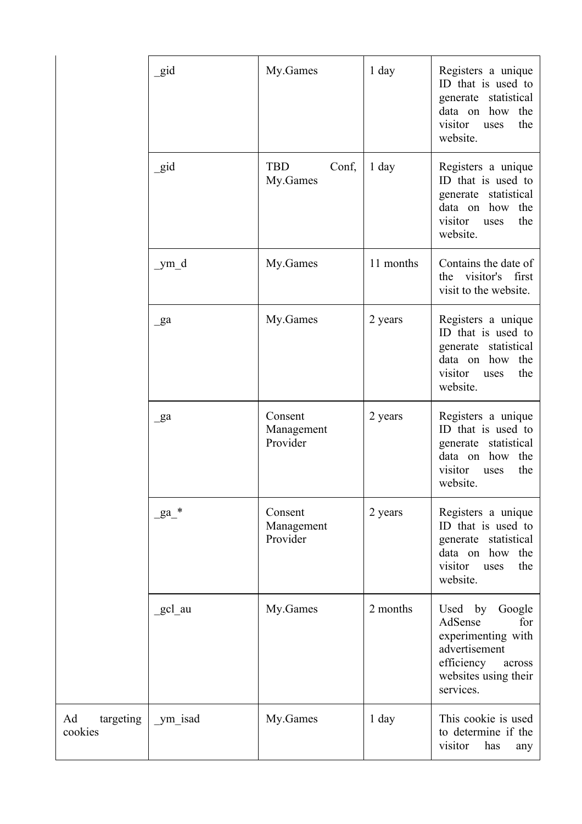|                            | gid            | My.Games                          | 1 day     | Registers a unique<br>ID that is used to<br>generate statistical<br>data on how<br>the<br>the<br>visitor<br>uses<br>website.         |
|----------------------------|----------------|-----------------------------------|-----------|--------------------------------------------------------------------------------------------------------------------------------------|
|                            | gid            | TBD<br>Conf,<br>My.Games          | 1 day     | Registers a unique<br>ID that is used to<br>generate statistical<br>the<br>data on how<br>visitor<br>the<br>uses<br>website.         |
|                            | _ym_d          | My.Games                          | 11 months | Contains the date of<br>visitor's<br>first<br>the<br>visit to the website.                                                           |
|                            | $\mathbf{g}$ a | My.Games                          | 2 years   | Registers a unique<br>ID that is used to<br>generate statistical<br>the<br>how<br>data on<br>the<br>visitor<br>uses<br>website.      |
|                            | $\mathbf{g}$ a | Consent<br>Management<br>Provider | 2 years   | Registers a unique<br>ID that is used to<br>generate statistical<br>data on how the<br>visitor<br>the<br>uses<br>website.            |
|                            | $ga^*$         | Consent<br>Management<br>Provider | 2 years   | Registers a unique<br>ID that is used to<br>generate statistical<br>data on how<br>the<br>visitor<br>the<br>uses<br>website.         |
|                            | gcl_au         | My.Games                          | 2 months  | Used by Google<br>AdSense<br>for<br>experimenting with<br>advertisement<br>efficiency<br>across<br>websites using their<br>services. |
| Ad<br>targeting<br>cookies | _ym_isad       | My.Games                          | $1$ day   | This cookie is used<br>to determine if the<br>visitor<br>has<br>any                                                                  |